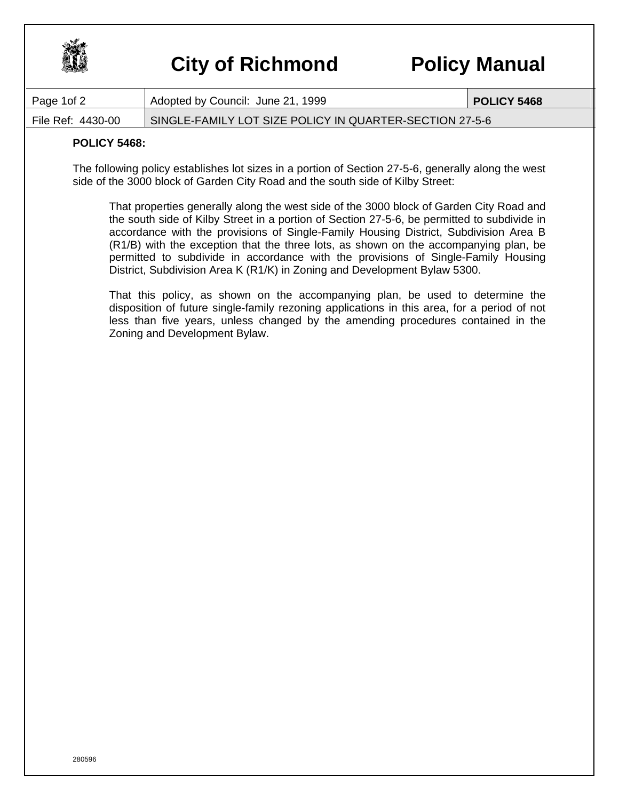

## **City of Richmond Policy Manual**

| Page 1of 2        | Adopted by Council: June 21, 1999                       | <b>POLICY 5468</b> |
|-------------------|---------------------------------------------------------|--------------------|
| File Ref: 4430-00 | SINGLE-FAMILY LOT SIZE POLICY IN QUARTER-SECTION 27-5-6 |                    |

## **POLICY 5468:**

The following policy establishes lot sizes in a portion of Section 27-5-6, generally along the west side of the 3000 block of Garden City Road and the south side of Kilby Street:

That properties generally along the west side of the 3000 block of Garden City Road and the south side of Kilby Street in a portion of Section 27-5-6, be permitted to subdivide in accordance with the provisions of Single-Family Housing District, Subdivision Area B (R1/B) with the exception that the three lots, as shown on the accompanying plan, be permitted to subdivide in accordance with the provisions of Single-Family Housing District, Subdivision Area K (R1/K) in Zoning and Development Bylaw 5300.

That this policy, as shown on the accompanying plan, be used to determine the disposition of future single-family rezoning applications in this area, for a period of not less than five years, unless changed by the amending procedures contained in the Zoning and Development Bylaw.